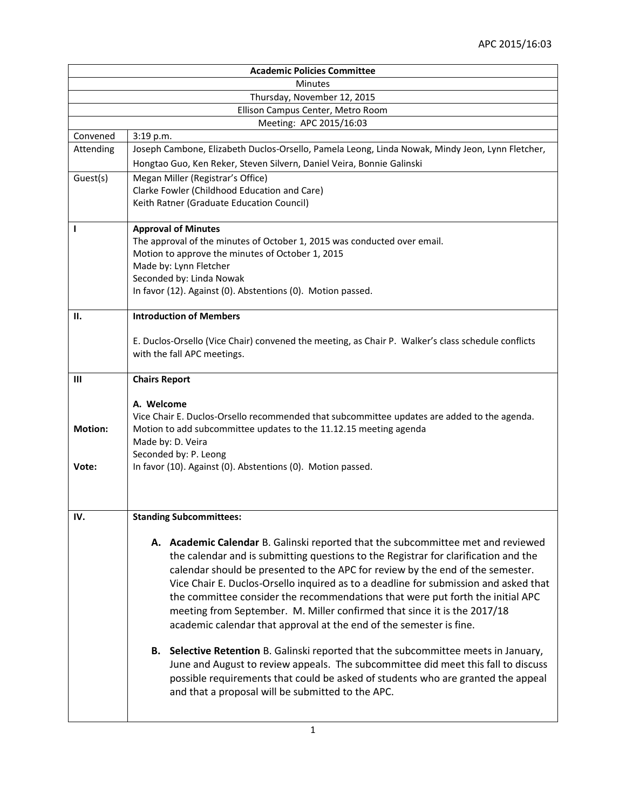| <b>Academic Policies Committee</b> |                                                                                                                                                                                                                                                                                                                   |  |  |
|------------------------------------|-------------------------------------------------------------------------------------------------------------------------------------------------------------------------------------------------------------------------------------------------------------------------------------------------------------------|--|--|
| <b>Minutes</b>                     |                                                                                                                                                                                                                                                                                                                   |  |  |
| Thursday, November 12, 2015        |                                                                                                                                                                                                                                                                                                                   |  |  |
| Ellison Campus Center, Metro Room  |                                                                                                                                                                                                                                                                                                                   |  |  |
| Convened                           | Meeting: APC 2015/16:03                                                                                                                                                                                                                                                                                           |  |  |
| Attending                          | 3:19 p.m.<br>Joseph Cambone, Elizabeth Duclos-Orsello, Pamela Leong, Linda Nowak, Mindy Jeon, Lynn Fletcher,                                                                                                                                                                                                      |  |  |
|                                    | Hongtao Guo, Ken Reker, Steven Silvern, Daniel Veira, Bonnie Galinski                                                                                                                                                                                                                                             |  |  |
| Guest(s)                           | Megan Miller (Registrar's Office)<br>Clarke Fowler (Childhood Education and Care)                                                                                                                                                                                                                                 |  |  |
|                                    | Keith Ratner (Graduate Education Council)                                                                                                                                                                                                                                                                         |  |  |
| I                                  | <b>Approval of Minutes</b>                                                                                                                                                                                                                                                                                        |  |  |
|                                    | The approval of the minutes of October 1, 2015 was conducted over email.                                                                                                                                                                                                                                          |  |  |
|                                    | Motion to approve the minutes of October 1, 2015                                                                                                                                                                                                                                                                  |  |  |
|                                    | Made by: Lynn Fletcher                                                                                                                                                                                                                                                                                            |  |  |
|                                    | Seconded by: Linda Nowak                                                                                                                                                                                                                                                                                          |  |  |
|                                    | In favor (12). Against (0). Abstentions (0). Motion passed.                                                                                                                                                                                                                                                       |  |  |
| н.                                 | <b>Introduction of Members</b>                                                                                                                                                                                                                                                                                    |  |  |
|                                    |                                                                                                                                                                                                                                                                                                                   |  |  |
|                                    | E. Duclos-Orsello (Vice Chair) convened the meeting, as Chair P. Walker's class schedule conflicts                                                                                                                                                                                                                |  |  |
|                                    | with the fall APC meetings.                                                                                                                                                                                                                                                                                       |  |  |
| Ш                                  | <b>Chairs Report</b>                                                                                                                                                                                                                                                                                              |  |  |
|                                    | A. Welcome                                                                                                                                                                                                                                                                                                        |  |  |
|                                    | Vice Chair E. Duclos-Orsello recommended that subcommittee updates are added to the agenda.                                                                                                                                                                                                                       |  |  |
| <b>Motion:</b>                     | Motion to add subcommittee updates to the 11.12.15 meeting agenda                                                                                                                                                                                                                                                 |  |  |
|                                    | Made by: D. Veira                                                                                                                                                                                                                                                                                                 |  |  |
|                                    | Seconded by: P. Leong                                                                                                                                                                                                                                                                                             |  |  |
| Vote:                              | In favor (10). Against (0). Abstentions (0). Motion passed.                                                                                                                                                                                                                                                       |  |  |
|                                    |                                                                                                                                                                                                                                                                                                                   |  |  |
|                                    |                                                                                                                                                                                                                                                                                                                   |  |  |
| IV.                                | <b>Standing Subcommittees:</b>                                                                                                                                                                                                                                                                                    |  |  |
|                                    |                                                                                                                                                                                                                                                                                                                   |  |  |
|                                    | A. Academic Calendar B. Galinski reported that the subcommittee met and reviewed<br>the calendar and is submitting questions to the Registrar for clarification and the                                                                                                                                           |  |  |
|                                    | calendar should be presented to the APC for review by the end of the semester.<br>Vice Chair E. Duclos-Orsello inquired as to a deadline for submission and asked that<br>the committee consider the recommendations that were put forth the initial APC                                                          |  |  |
|                                    | meeting from September. M. Miller confirmed that since it is the 2017/18<br>academic calendar that approval at the end of the semester is fine.                                                                                                                                                                   |  |  |
|                                    | B. Selective Retention B. Galinski reported that the subcommittee meets in January,<br>June and August to review appeals. The subcommittee did meet this fall to discuss<br>possible requirements that could be asked of students who are granted the appeal<br>and that a proposal will be submitted to the APC. |  |  |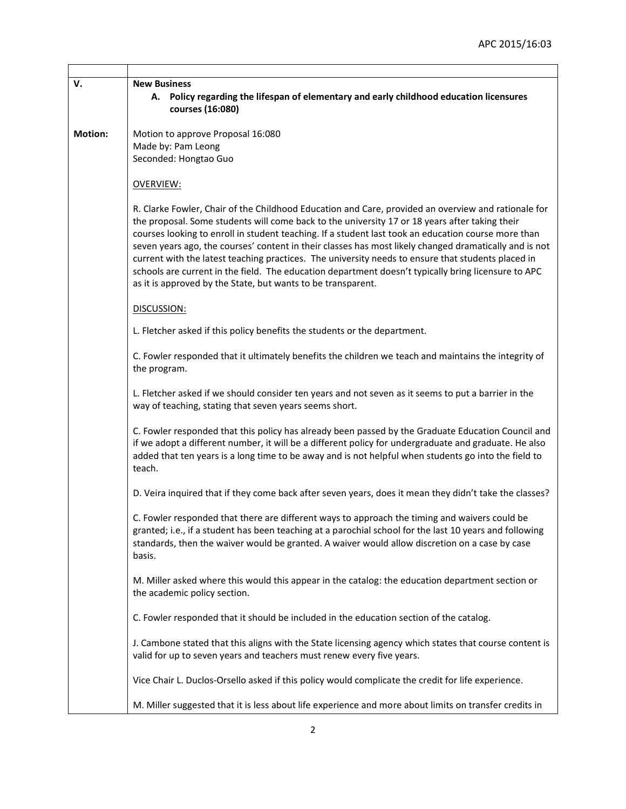| v.             | <b>New Business</b>                                                                                                                                                                                                                                                                                                                                                                                                                                                                                                                                                                                                                                                                                 |
|----------------|-----------------------------------------------------------------------------------------------------------------------------------------------------------------------------------------------------------------------------------------------------------------------------------------------------------------------------------------------------------------------------------------------------------------------------------------------------------------------------------------------------------------------------------------------------------------------------------------------------------------------------------------------------------------------------------------------------|
|                | A. Policy regarding the lifespan of elementary and early childhood education licensures<br>courses (16:080)                                                                                                                                                                                                                                                                                                                                                                                                                                                                                                                                                                                         |
|                |                                                                                                                                                                                                                                                                                                                                                                                                                                                                                                                                                                                                                                                                                                     |
| <b>Motion:</b> | Motion to approve Proposal 16:080                                                                                                                                                                                                                                                                                                                                                                                                                                                                                                                                                                                                                                                                   |
|                | Made by: Pam Leong<br>Seconded: Hongtao Guo                                                                                                                                                                                                                                                                                                                                                                                                                                                                                                                                                                                                                                                         |
|                |                                                                                                                                                                                                                                                                                                                                                                                                                                                                                                                                                                                                                                                                                                     |
|                | <b>OVERVIEW:</b>                                                                                                                                                                                                                                                                                                                                                                                                                                                                                                                                                                                                                                                                                    |
|                | R. Clarke Fowler, Chair of the Childhood Education and Care, provided an overview and rationale for<br>the proposal. Some students will come back to the university 17 or 18 years after taking their<br>courses looking to enroll in student teaching. If a student last took an education course more than<br>seven years ago, the courses' content in their classes has most likely changed dramatically and is not<br>current with the latest teaching practices. The university needs to ensure that students placed in<br>schools are current in the field. The education department doesn't typically bring licensure to APC<br>as it is approved by the State, but wants to be transparent. |
|                | DISCUSSION:                                                                                                                                                                                                                                                                                                                                                                                                                                                                                                                                                                                                                                                                                         |
|                | L. Fletcher asked if this policy benefits the students or the department.                                                                                                                                                                                                                                                                                                                                                                                                                                                                                                                                                                                                                           |
|                | C. Fowler responded that it ultimately benefits the children we teach and maintains the integrity of<br>the program.                                                                                                                                                                                                                                                                                                                                                                                                                                                                                                                                                                                |
|                | L. Fletcher asked if we should consider ten years and not seven as it seems to put a barrier in the<br>way of teaching, stating that seven years seems short.                                                                                                                                                                                                                                                                                                                                                                                                                                                                                                                                       |
|                | C. Fowler responded that this policy has already been passed by the Graduate Education Council and<br>if we adopt a different number, it will be a different policy for undergraduate and graduate. He also<br>added that ten years is a long time to be away and is not helpful when students go into the field to<br>teach.                                                                                                                                                                                                                                                                                                                                                                       |
|                | D. Veira inquired that if they come back after seven years, does it mean they didn't take the classes?                                                                                                                                                                                                                                                                                                                                                                                                                                                                                                                                                                                              |
|                | C. Fowler responded that there are different ways to approach the timing and waivers could be<br>granted; i.e., if a student has been teaching at a parochial school for the last 10 years and following<br>standards, then the waiver would be granted. A waiver would allow discretion on a case by case<br>basis.                                                                                                                                                                                                                                                                                                                                                                                |
|                | M. Miller asked where this would this appear in the catalog: the education department section or<br>the academic policy section.                                                                                                                                                                                                                                                                                                                                                                                                                                                                                                                                                                    |
|                | C. Fowler responded that it should be included in the education section of the catalog.                                                                                                                                                                                                                                                                                                                                                                                                                                                                                                                                                                                                             |
|                | J. Cambone stated that this aligns with the State licensing agency which states that course content is<br>valid for up to seven years and teachers must renew every five years.                                                                                                                                                                                                                                                                                                                                                                                                                                                                                                                     |
|                | Vice Chair L. Duclos-Orsello asked if this policy would complicate the credit for life experience.                                                                                                                                                                                                                                                                                                                                                                                                                                                                                                                                                                                                  |
|                | M. Miller suggested that it is less about life experience and more about limits on transfer credits in                                                                                                                                                                                                                                                                                                                                                                                                                                                                                                                                                                                              |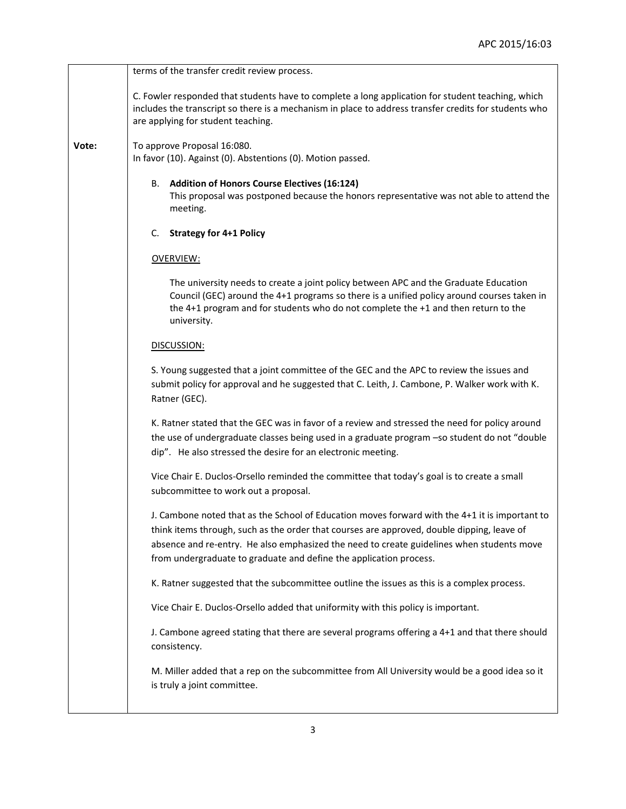|       | terms of the transfer credit review process.                                                                                                                                                                                                                                                                                                                    |
|-------|-----------------------------------------------------------------------------------------------------------------------------------------------------------------------------------------------------------------------------------------------------------------------------------------------------------------------------------------------------------------|
|       | C. Fowler responded that students have to complete a long application for student teaching, which<br>includes the transcript so there is a mechanism in place to address transfer credits for students who<br>are applying for student teaching.                                                                                                                |
| Vote: | To approve Proposal 16:080.<br>In favor (10). Against (0). Abstentions (0). Motion passed.                                                                                                                                                                                                                                                                      |
|       | B. Addition of Honors Course Electives (16:124)<br>This proposal was postponed because the honors representative was not able to attend the<br>meeting.                                                                                                                                                                                                         |
|       | C. Strategy for 4+1 Policy                                                                                                                                                                                                                                                                                                                                      |
|       | OVERVIEW:                                                                                                                                                                                                                                                                                                                                                       |
|       | The university needs to create a joint policy between APC and the Graduate Education<br>Council (GEC) around the 4+1 programs so there is a unified policy around courses taken in<br>the 4+1 program and for students who do not complete the +1 and then return to the<br>university.                                                                         |
|       | DISCUSSION:                                                                                                                                                                                                                                                                                                                                                     |
|       | S. Young suggested that a joint committee of the GEC and the APC to review the issues and<br>submit policy for approval and he suggested that C. Leith, J. Cambone, P. Walker work with K.<br>Ratner (GEC).                                                                                                                                                     |
|       | K. Ratner stated that the GEC was in favor of a review and stressed the need for policy around<br>the use of undergraduate classes being used in a graduate program -so student do not "double<br>dip". He also stressed the desire for an electronic meeting.                                                                                                  |
|       | Vice Chair E. Duclos-Orsello reminded the committee that today's goal is to create a small<br>subcommittee to work out a proposal.                                                                                                                                                                                                                              |
|       | J. Cambone noted that as the School of Education moves forward with the 4+1 it is important to<br>think items through, such as the order that courses are approved, double dipping, leave of<br>absence and re-entry. He also emphasized the need to create guidelines when students move<br>from undergraduate to graduate and define the application process. |
|       | K. Ratner suggested that the subcommittee outline the issues as this is a complex process.                                                                                                                                                                                                                                                                      |
|       | Vice Chair E. Duclos-Orsello added that uniformity with this policy is important.                                                                                                                                                                                                                                                                               |
|       | J. Cambone agreed stating that there are several programs offering a 4+1 and that there should<br>consistency.                                                                                                                                                                                                                                                  |
|       | M. Miller added that a rep on the subcommittee from All University would be a good idea so it<br>is truly a joint committee.                                                                                                                                                                                                                                    |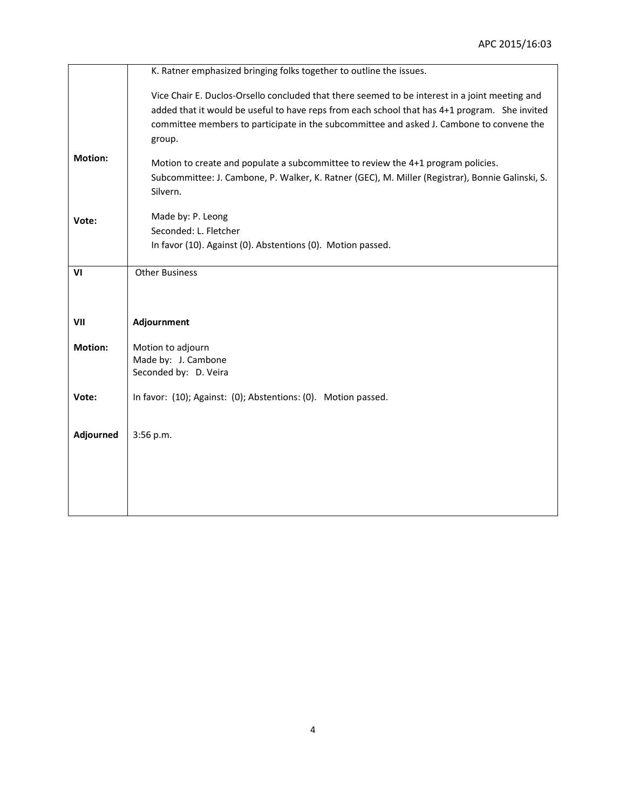|                | K. Ratner emphasized bringing folks together to outline the issues.                                                                                                                                                                                                                                   |
|----------------|-------------------------------------------------------------------------------------------------------------------------------------------------------------------------------------------------------------------------------------------------------------------------------------------------------|
|                | Vice Chair E. Duclos-Orsello concluded that there seemed to be interest in a joint meeting and<br>added that it would be useful to have reps from each school that has 4+1 program. She invited<br>committee members to participate in the subcommittee and asked J. Cambone to convene the<br>group. |
| <b>Motion:</b> | Motion to create and populate a subcommittee to review the 4+1 program policies.<br>Subcommittee: J. Cambone, P. Walker, K. Ratner (GEC), M. Miller (Registrar), Bonnie Galinski, S.<br>Silvern.                                                                                                      |
| Vote:          | Made by: P. Leong                                                                                                                                                                                                                                                                                     |
|                | Seconded: L. Fletcher                                                                                                                                                                                                                                                                                 |
|                | In favor (10). Against (0). Abstentions (0). Motion passed.                                                                                                                                                                                                                                           |
| VI             | <b>Other Business</b>                                                                                                                                                                                                                                                                                 |
|                |                                                                                                                                                                                                                                                                                                       |
|                |                                                                                                                                                                                                                                                                                                       |
| VII            | Adjournment                                                                                                                                                                                                                                                                                           |
| <b>Motion:</b> | Motion to adjourn<br>Made by: J. Cambone<br>Seconded by: D. Veira                                                                                                                                                                                                                                     |
| Vote:          | In favor: (10); Against: (0); Abstentions: (0). Motion passed.                                                                                                                                                                                                                                        |
| Adjourned      | 3:56 p.m.                                                                                                                                                                                                                                                                                             |
|                |                                                                                                                                                                                                                                                                                                       |
|                |                                                                                                                                                                                                                                                                                                       |
|                |                                                                                                                                                                                                                                                                                                       |
|                |                                                                                                                                                                                                                                                                                                       |
|                |                                                                                                                                                                                                                                                                                                       |